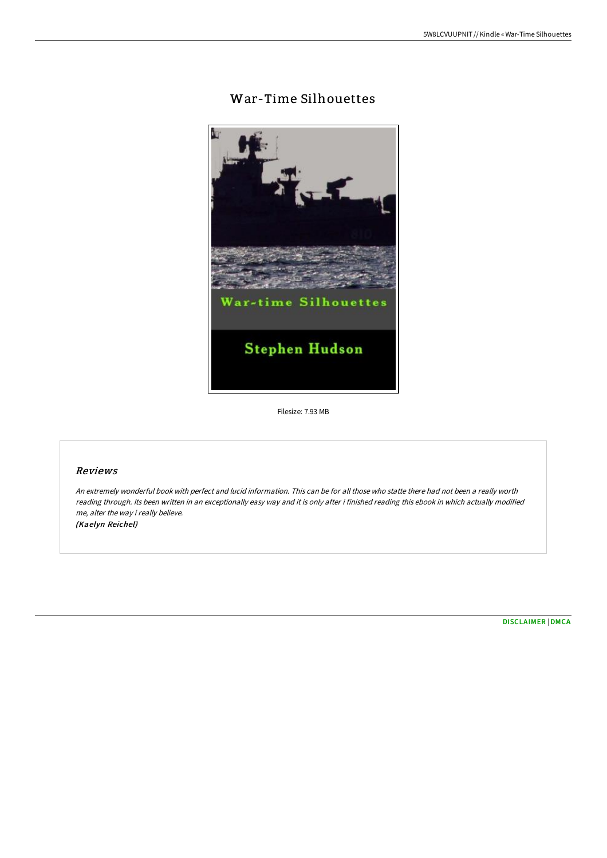# War-Time Silhouettes



Filesize: 7.93 MB

## Reviews

An extremely wonderful book with perfect and lucid information. This can be for all those who statte there had not been <sup>a</sup> really worth reading through. Its been written in an exceptionally easy way and it is only after i finished reading this ebook in which actually modified me, alter the way i really believe.

(Kaelyn Reichel)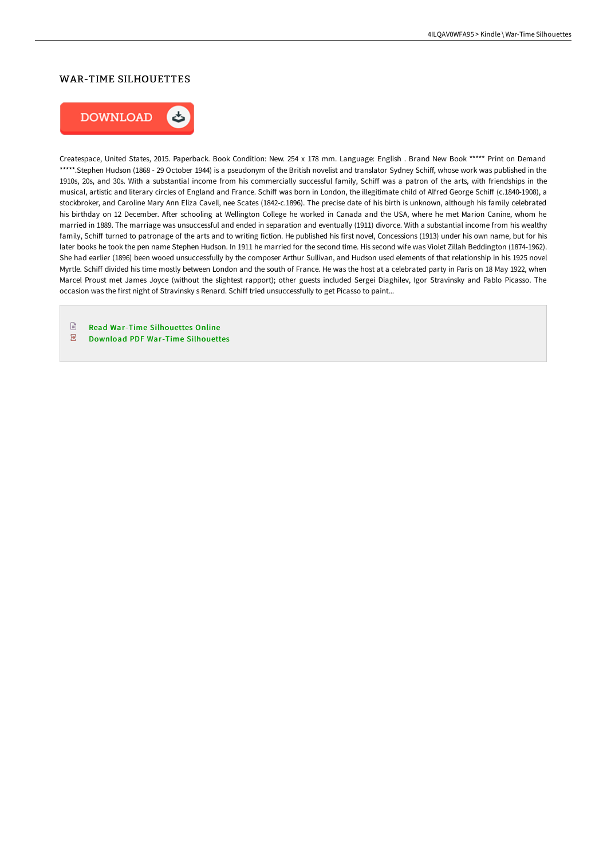# WAR-TIME SILHOUETTES



Createspace, United States, 2015. Paperback. Book Condition: New. 254 x 178 mm. Language: English . Brand New Book \*\*\*\*\* Print on Demand \*\*\*\*\*.Stephen Hudson (1868 - 29 October 1944) is a pseudonym of the British novelist and translator Sydney Schiff, whose work was published in the 1910s, 20s, and 30s. With a substantial income from his commercially successful family, Schiff was a patron of the arts, with friendships in the musical, artistic and literary circles of England and France. Schiff was born in London, the illegitimate child of Alfred George Schiff (c.1840-1908), a stockbroker, and Caroline Mary Ann Eliza Cavell, nee Scates (1842-c.1896). The precise date of his birth is unknown, although his family celebrated his birthday on 12 December. After schooling at Wellington College he worked in Canada and the USA, where he met Marion Canine, whom he married in 1889. The marriage was unsuccessful and ended in separation and eventually (1911) divorce. With a substantial income from his wealthy family, Schiff turned to patronage of the arts and to writing fiction. He published his first novel, Concessions (1913) under his own name, but for his later books he took the pen name Stephen Hudson. In 1911 he married for the second time. His second wife was Violet Zillah Beddington (1874-1962). She had earlier (1896) been wooed unsuccessfully by the composer Arthur Sullivan, and Hudson used elements of that relationship in his 1925 novel Myrtle. Schiff divided his time mostly between London and the south of France. He was the host at a celebrated party in Paris on 18 May 1922, when Marcel Proust met James Joyce (without the slightest rapport); other guests included Sergei Diaghilev, Igor Stravinsky and Pablo Picasso. The occasion was the first night of Stravinsky s Renard. Schiff tried unsuccessfully to get Picasso to paint...

 $\begin{tabular}{|c|c|} \hline \quad \quad & \quad \quad & \quad \quad \\ \hline \end{tabular}$ Read War-Time [Silhouettes](http://techno-pub.tech/war-time-silhouettes-paperback.html) Online  $\overline{\mathbf{P}^{\text{RF}}}$ Download PDF War-Time [Silhouettes](http://techno-pub.tech/war-time-silhouettes-paperback.html)